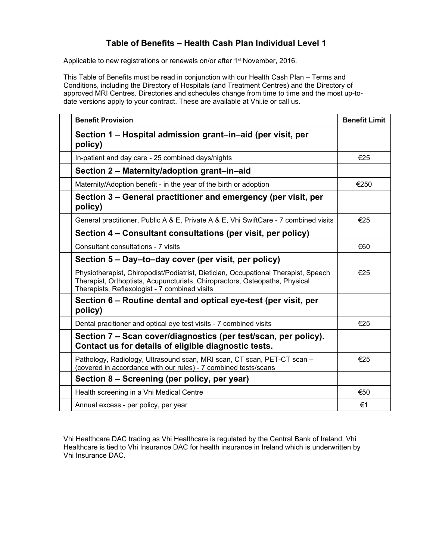## **Table of Benefits – Health Cash Plan Individual Level 1**

Applicable to new registrations or renewals on/or after 1<sup>st</sup> November, 2016.

This Table of Benefits must be read in conjunction with our Health Cash Plan – Terms and Conditions, including the Directory of Hospitals (and Treatment Centres) and the Directory of approved MRI Centres. Directories and schedules change from time to time and the most up-todate versions apply to your contract. These are available at Vhi.ie or call us.

| <b>Benefit Provision</b>                                                                                                                                                                                           | <b>Benefit Limit</b> |
|--------------------------------------------------------------------------------------------------------------------------------------------------------------------------------------------------------------------|----------------------|
| Section 1 – Hospital admission grant–in–aid (per visit, per<br>policy)                                                                                                                                             |                      |
| In-patient and day care - 25 combined days/nights                                                                                                                                                                  | €25                  |
| Section 2 - Maternity/adoption grant-in-aid                                                                                                                                                                        |                      |
| Maternity/Adoption benefit - in the year of the birth or adoption                                                                                                                                                  | €250                 |
| Section 3 – General practitioner and emergency (per visit, per<br>policy)                                                                                                                                          |                      |
| General practitioner, Public A & E, Private A & E, Vhi SwiftCare - 7 combined visits                                                                                                                               | €25                  |
| Section 4 - Consultant consultations (per visit, per policy)                                                                                                                                                       |                      |
| Consultant consultations - 7 visits                                                                                                                                                                                | €60                  |
| Section 5 – Day–to–day cover (per visit, per policy)                                                                                                                                                               |                      |
| Physiotherapist, Chiropodist/Podiatrist, Dietician, Occupational Therapist, Speech<br>Therapist, Orthoptists, Acupuncturists, Chiropractors, Osteopaths, Physical<br>Therapists, Reflexologist - 7 combined visits | €25                  |
| Section 6 – Routine dental and optical eye-test (per visit, per<br>policy)                                                                                                                                         |                      |
| Dental pracitioner and optical eye test visits - 7 combined visits                                                                                                                                                 | €25                  |
| Section 7 – Scan cover/diagnostics (per test/scan, per policy).<br>Contact us for details of eligible diagnostic tests.                                                                                            |                      |
| Pathology, Radiology, Ultrasound scan, MRI scan, CT scan, PET-CT scan -<br>(covered in accordance with our rules) - 7 combined tests/scans                                                                         | €25                  |
| Section 8 – Screening (per policy, per year)                                                                                                                                                                       |                      |
| Health screening in a Vhi Medical Centre                                                                                                                                                                           | €50                  |
| Annual excess - per policy, per year                                                                                                                                                                               | €1                   |

Vhi Healthcare DAC trading as Vhi Healthcare is regulated by the Central Bank of Ireland. Vhi Healthcare is tied to Vhi Insurance DAC for health insurance in Ireland which is underwritten by Vhi Insurance DAC.